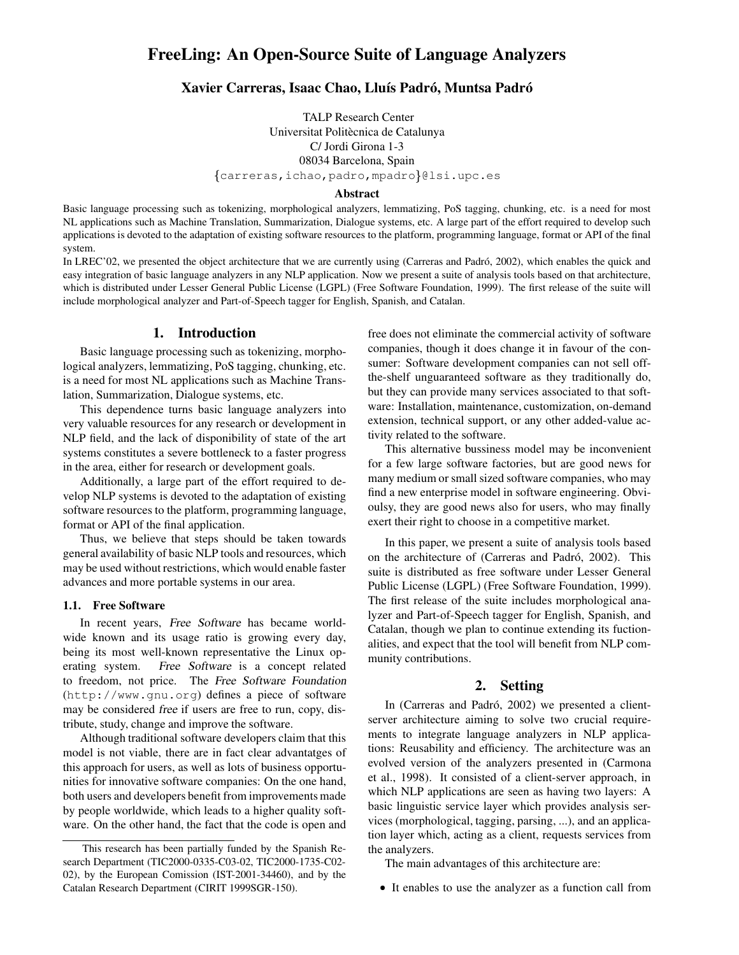# **FreeLing: An Open-Source Suite of Language Analyzers**

## **Xavier Carreras, Isaac Chao, Llu´ıs Padro, ´ Muntsa Padro´**

TALP Research Center Universitat Politècnica de Catalunya C/ Jordi Girona 1-3 08034 Barcelona, Spain  $\{\texttt{carreras},\texttt{ichao},\texttt{padro},\texttt{mpadro}\}$ @lsi.upc.es

#### **Abstract**

Basic language processing such as tokenizing, morphological analyzers, lemmatizing, PoS tagging, chunking, etc. is a need for most NL applications such as Machine Translation, Summarization, Dialogue systems, etc. A large part of the effort required to develop such applications is devoted to the adaptation of existing software resources to the platform, programming language, format or API of the final system.

In LREC'02, we presented the object architecture that we are currently using (Carreras and Padró, 2002), which enables the quick and easy integration of basic language analyzers in any NLP application. Now we present a suite of analysis tools based on that architecture, which is distributed under Lesser General Public License (LGPL) (Free Software Foundation, 1999). The first release of the suite will include morphological analyzer and Part-of-Speech tagger for English, Spanish, and Catalan.

#### **1. Introduction**

Basic language processing such as tokenizing, morphological analyzers, lemmatizing, PoS tagging, chunking, etc. is a need for most NL applications such as Machine Translation, Summarization, Dialogue systems, etc.

This dependence turns basic language analyzers into very valuable resources for any research or development in NLP field, and the lack of disponibility of state of the art systems constitutes a severe bottleneck to a faster progress in the area, either for research or development goals.

Additionally, a large part of the effort required to develop NLP systems is devoted to the adaptation of existing software resources to the platform, programming language, format or API of the final application.

Thus, we believe that steps should be taken towards general availability of basic NLP tools and resources, which may be used without restrictions, which would enable faster advances and more portable systems in our area.

#### **1.1. Free Software**

In recent years, Free Software has became worldwide known and its usage ratio is growing every day, being its most well-known representative the Linux operating system. Free Software is a concept related to freedom, not price. The Free Software Foundation (http://www.gnu.org) defines a piece of software may be considered free if users are free to run, copy, distribute, study, change and improve the software.

Although traditional software developers claim that this model is not viable, there are in fact clear advantatges of this approach for users, as well as lots of business opportunities for innovative software companies: On the one hand, both users and developers benefit from improvements made by people worldwide, which leads to a higher quality software. On the other hand, the fact that the code is open and free does not eliminate the commercial activity of software companies, though it does change it in favour of the consumer: Software development companies can not sell offthe-shelf unguaranteed software as they traditionally do, but they can provide many services associated to that software: Installation, maintenance, customization, on-demand extension, technical support, or any other added-value activity related to the software.

This alternative bussiness model may be inconvenient for a few large software factories, but are good news for many medium or small sized software companies, who may find a new enterprise model in software engineering. Obvioulsy, they are good news also for users, who may finally exert their right to choose in a competitive market.

In this paper, we present a suite of analysis tools based on the architecture of (Carreras and Padró, 2002). This suite is distributed as free software under Lesser General Public License (LGPL) (Free Software Foundation, 1999). The first release of the suite includes morphological analyzer and Part-of-Speech tagger for English, Spanish, and Catalan, though we plan to continue extending its fuctionalities, and expect that the tool will benefit from NLP community contributions.

#### **2. Setting**

In (Carreras and Padró, 2002) we presented a clientserver architecture aiming to solve two crucial requirements to integrate language analyzers in NLP applications: Reusability and efficiency. The architecture was an evolved version of the analyzers presented in (Carmona et al., 1998). It consisted of a client-server approach, in which NLP applications are seen as having two layers: A basic linguistic service layer which provides analysis services (morphological, tagging, parsing, ...), and an application layer which, acting as a client, requests services from the analyzers.

The main advantages of this architecture are:

- It enables to use the analyzer as a function call from

This research has been partially funded by the Spanish Research Department (TIC2000-0335-C03-02, TIC2000-1735-C02- 02), by the European Comission (IST-2001-34460), and by the Catalan Research Department (CIRIT 1999SGR-150).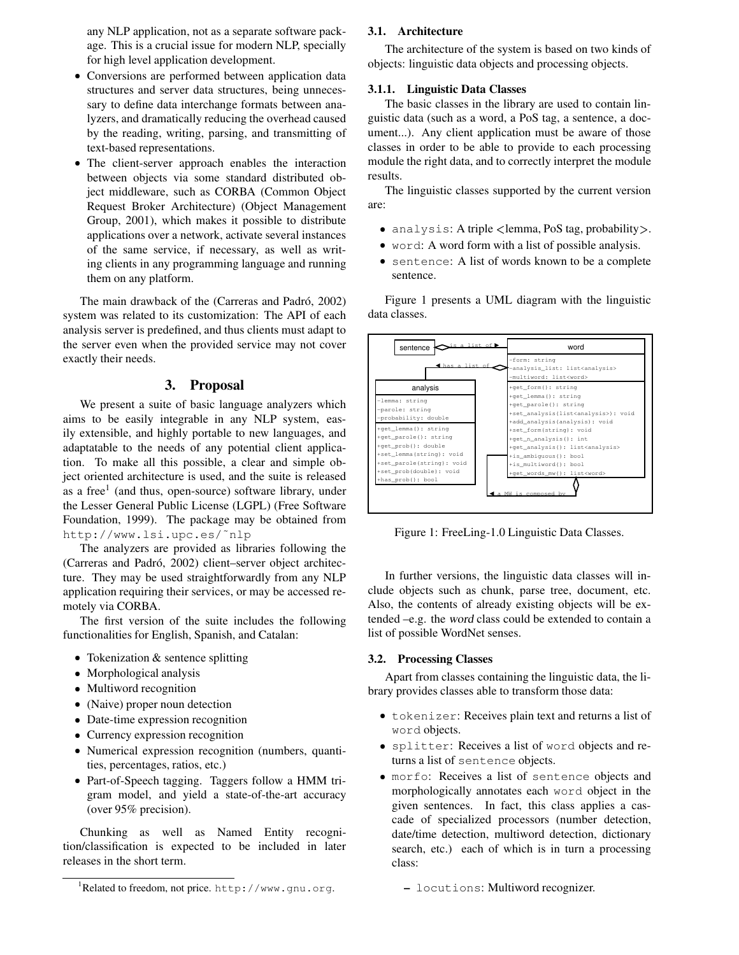any NLP application, not as a separate software package. This is a crucial issue for modern NLP, specially for high level application development.

- Conversions are performed between application data structures and server data structures, being unnecessary to define data interchange formats between analyzers, and dramatically reducing the overhead caused by the reading, writing, parsing, and transmitting of text-based representations.
- The client-server approach enables the interaction between objects via some standard distributed object middleware, such as CORBA (Common Object Request Broker Architecture) (Object Management Group, 2001), which makes it possible to distribute applications over a network, activate several instances of the same service, if necessary, as well as writing clients in any programming language and running them on any platform.

The main drawback of the (Carreras and Padró, 2002) system was related to its customization: The API of each analysis server is predefined, and thus clients must adapt to the server even when the provided service may not cover exactly their needs.

### **3. Proposal**

We present a suite of basic language analyzers which aims to be easily integrable in any NLP system, easily extensible, and highly portable to new languages, and adaptatable to the needs of any potential client application. To make all this possible, a clear and simple object oriented architecture is used, and the suite is released as a free<sup>1</sup> (and thus, open-source) software library, under the Lesser General Public License (LGPL) (Free Software Foundation, 1999). The package may be obtained from http://www.lsi.upc.es/˜nlp

The analyzers are provided as libraries following the (Carreras and Padró, 2002) client–server object architecture. They may be used straightforwardly from any NLP application requiring their services, or may be accessed remotely via CORBA.

The first version of the suite includes the following functionalities for English, Spanish, and Catalan:

- Tokenization & sentence splitting
- Morphological analysis
- Multiword recognition
- (Naive) proper noun detection
- Date-time expression recognition
- Currency expression recognition
- Numerical expression recognition (numbers, quantities, percentages, ratios, etc.)
- Part-of-Speech tagging. Taggers follow a HMM trigram model, and yield a state-of-the-art accuracy (over 95% precision).

Chunking as well as Named Entity recognition/classification is expected to be included in later releases in the short term.

#### **3.1. Architecture**

The architecture of the system is based on two kinds of objects: linguistic data objects and processing objects.

#### **3.1.1. Linguistic Data Classes**

The basic classes in the library are used to contain linguistic data (such as a word, a PoS tag, a sentence, a document...). Any client application must be aware of those classes in order to be able to provide to each processing module the right data, and to correctly interpret the module results.

The linguistic classes supported by the current version are:

- . analysis: A triple <lemma, PoS tag, probability>.
- word: A word form with a list of possible analysis.
- sentence: A list of words known to be a complete sentence.

Figure 1 presents a UML diagram with the linguistic data classes.



Figure 1: FreeLing-1.0 Linguistic Data Classes.

In further versions, the linguistic data classes will include objects such as chunk, parse tree, document, etc. Also, the contents of already existing objects will be extended –e.g. the word class could be extended to contain a list of possible WordNet senses.

#### **3.2. Processing Classes**

Apart from classes containing the linguistic data, the library provides classes able to transform those data:

- tokenizer: Receives plain text and returns a list of word objects.
- splitter: Receives a list of word objects and returns a list of sentence objects.
- morfo: Receives a list of sentence objects and morphologically annotates each word object in the given sentences. In fact, this class applies a cascade of specialized processors (number detection, date/time detection, multiword detection, dictionary search, etc.) each of which is in turn a processing class:

**–** locutions: Multiword recognizer.

<sup>1</sup>Related to freedom, not price. http://www.gnu.org.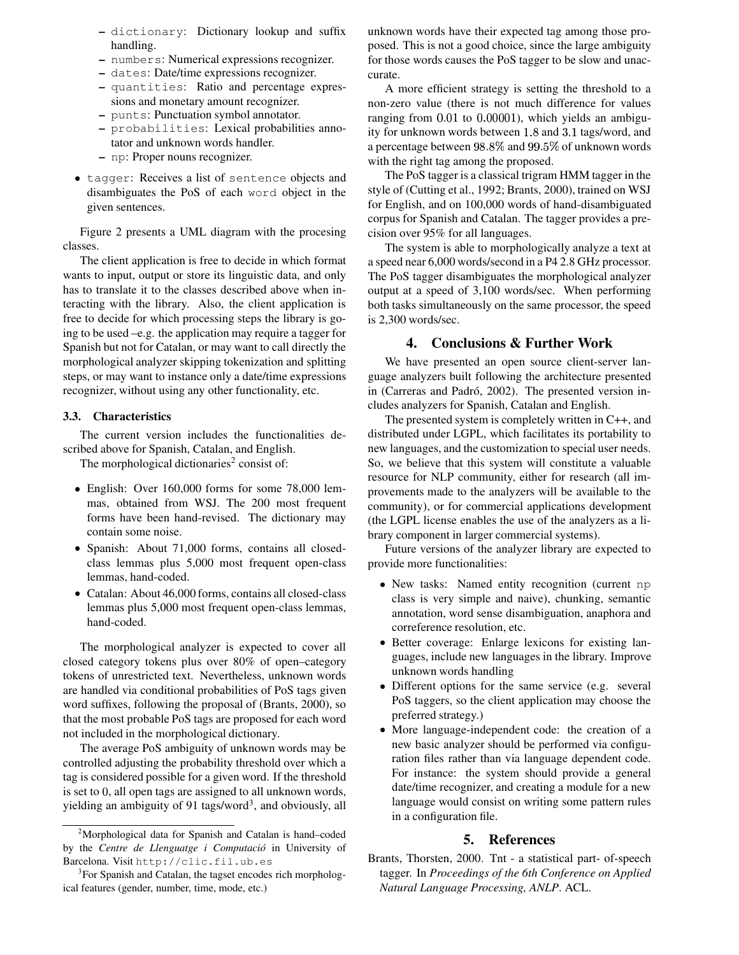- **–** dictionary: Dictionary lookup and suffix handling.
- **–** numbers: Numerical expressions recognizer.
- **–** dates: Date/time expressions recognizer.
- **–** quantities: Ratio and percentage expressions and monetary amount recognizer.
- **–** punts: Punctuation symbol annotator.
- **–** probabilities: Lexical probabilities annotator and unknown words handler.
- **–** np: Proper nouns recognizer.
- tagger: Receives a list of sentence objects and disambiguates the PoS of each word object in the given sentences.

Figure 2 presents a UML diagram with the procesing classes.

The client application is free to decide in which format wants to input, output or store its linguistic data, and only has to translate it to the classes described above when interacting with the library. Also, the client application is free to decide for which processing steps the library is going to be used –e.g. the application may require a tagger for Spanish but not for Catalan, or may want to call directly the morphological analyzer skipping tokenization and splitting steps, or may want to instance only a date/time expressions recognizer, without using any other functionality, etc.

#### **3.3. Characteristics**

The current version includes the functionalities described above for Spanish, Catalan, and English.

The morphological dictionaries<sup>2</sup> consist of:

- English: Over 160,000 forms for some 78,000 lemmas, obtained from WSJ. The 200 most frequent forms have been hand-revised. The dictionary may contain some noise.
- Spanish: About 71,000 forms, contains all closedclass lemmas plus 5,000 most frequent open-class lemmas, hand-coded.
- Catalan: About 46,000 forms, contains all closed-class lemmas plus 5,000 most frequent open-class lemmas, hand-coded.

The morphological analyzer is expected to cover all closed category tokens plus over 80% of open–category tokens of unrestricted text. Nevertheless, unknown words are handled via conditional probabilities of PoS tags given word suffixes, following the proposal of (Brants, 2000), so that the most probable PoS tags are proposed for each word not included in the morphological dictionary.

The average PoS ambiguity of unknown words may be controlled adjusting the probability threshold over which a tag is considered possible for a given word. If the threshold is set to  $0$ , all open tags are assigned to all unknown words, yielding an ambiguity of 91 tags/word<sup>3</sup>, and obviously, all

unknown words have their expected tag among those proposed. This is not a good choice, since the large ambiguity for those words causes the PoS tagger to be slow and unaccurate.

A more efficient strategy is setting the threshold to a non-zero value (there is not much difference for values ranging from 0.01 to 0.00001), which yields an ambiguity for unknown words between 1.8 and 3.1 tags/word, and a percentage between  $98.8\%$  and  $99.5\%$  of unknown words with the right tag among the proposed.

The PoS tagger is a classical trigram HMM tagger in the style of (Cutting et al., 1992; Brants, 2000), trained on WSJ for English, and on 100,000 words of hand-disambiguated corpus for Spanish and Catalan. The tagger provides a precision over 95% for all languages.

The system is able to morphologically analyze a text at a speed near 6,000 words/second in a P4 2.8 GHz processor. The PoS tagger disambiguates the morphological analyzer output at a speed of 3,100 words/sec. When performing both tasks simultaneously on the same processor, the speed is 2,300 words/sec.

## **4. Conclusions & Further Work**

We have presented an open source client-server language analyzers built following the architecture presented in (Carreras and Padró, 2002). The presented version includes analyzers for Spanish, Catalan and English.

The presented system is completely written in C++, and distributed under LGPL, which facilitates its portability to new languages, and the customization to special user needs. So, we believe that this system will constitute a valuable resource for NLP community, either for research (all improvements made to the analyzers will be available to the community), or for commercial applications development (the LGPL license enables the use of the analyzers as a library component in larger commercial systems).

Future versions of the analyzer library are expected to provide more functionalities:

- New tasks: Named entity recognition (current np class is very simple and naive), chunking, semantic annotation, word sense disambiguation, anaphora and correference resolution, etc.
- Better coverage: Enlarge lexicons for existing languages, include new languages in the library. Improve unknown words handling
- Different options for the same service (e.g. several PoS taggers, so the client application may choose the preferred strategy.)
- More language-independent code: the creation of a new basic analyzer should be performed via configuration files rather than via language dependent code. For instance: the system should provide a general date/time recognizer, and creating a module for a new language would consist on writing some pattern rules in a configuration file.

## **5. References**

Brants, Thorsten, 2000. Tnt - a statistical part- of-speech tagger. In *Proceedings of the 6th Conference on Applied Natural Language Processing, ANLP*. ACL.

<sup>&</sup>lt;sup>2</sup>Morphological data for Spanish and Catalan is hand–coded by the *Centre de Llenguatge i Computacio´* in University of Barcelona. Visit http://clic.fil.ub.es

<sup>&</sup>lt;sup>3</sup>For Spanish and Catalan, the tagset encodes rich morphological features (gender, number, time, mode, etc.)